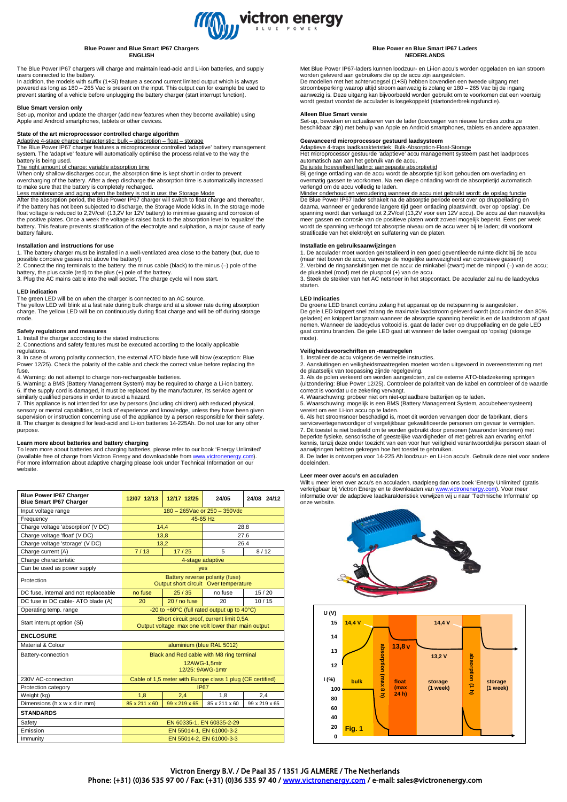

#### **Blue Power and Blue Smart IP67 Chargers ENGLISH**

The Blue Power IP67 chargers will charge and maintain lead-acid and Li-ion batteries, and supply

users connected to the battery. In addition, the models with suffix (1+Si) feature a second current limited output which is always powered as long as 180 – 265 Vac is present on the input. This output can for example be used to powered as long as 180 – 265 Vac is present on the input. This output can for example be used to prevent starting of a vehicle before unplugging the battery charger (start interrupt function).

**Blue Smart version only** Set-up, monitor and update the charger (add new features when they become available) using Apple and Android smartphones, tablets or other devices.

# **State of the art microprocessor controlled charge algorithm**

Adaptive 4-stage charge characteristic: bulk – absorption – float – storage<br>The Blue Power IP67 charger features a microprocessor controlled 'adaptive' battery management system. The 'adaptive' feature will automatically optimise the process relative to the way the battery is being used.

The right amount of charge: variable absorption time When only shallow discharges occur, the absorption time is kept short in order to prevent overcharging of the battery. After a deep discharge the absorption time is automatically increased to make sure that the battery is completely recharged.

#### Less maintenance and aging when the battery is not in use: the Storage Mode

After the absorption period, the Blue Power IP67 charger will switch to float charge and thereafter,<br>if the battery has not been subjected to discharge, the Storage Mode kicks in. In the storage mode<br>float voltage is reduc the positive plates. Once a week the voltage is raised back to the absorption level to 'equalize' the battery. This feature prevents stratification of the electrolyte and sulphation, a major cause of early battery failure.

### **Installation and instructions for use**

1. The battery charger must be installed in a well-ventilated area close to the battery (but, due to possible corrosive gasses not above the battery!)<br>2. Connect the ring terminals to the battery: the minus cable (black) t

# **LED indication**

The green LED will be on when the charger is connected to an AC source. The yellow LED will blink at a fast rate during bulk charge and at a slower rate during absorption charge. The yellow LED will be on continuously during float charge and will be off during storage mode.

# **Safety regulations and measures**

1. Install the charger according to the stated instructions 2. Connections and safety features must be executed according to the locally applicable regulations.

3. In case of wrong polarity connection, the external ATO blade fuse will blow (exception: Blue Power 12/25). Check the polarity of the cable and check the correct value before replacing the fuse.

4. Warning: do not attempt to charge non-rechargeable batteries.

5. Warning: a BMS (Battery Management System) may be required to charge a Li-ion battery. 6. If the supply cord is damaged, it must be replaced by the manufacturer, its service agent or

similarly qualified persons in order to avoid a hazard. 7. This appliance is not intended for use by persons (including children) with reduced physical, sensory or mental capabilities, or lack of experience and knowledge, unless they have been given<br>supervision or instruction concerning use of the appliance by a person responsible for their safety.<br>8. The charger is desig purpose.

# **Learn more about batteries and battery charging**

To learn more about batteries and charging batteries, please refer to our book 'Energy Unlimited'<br>(available free of charge from Victron Energy and downloadable from <u>www.victronenergy.com</u>).<br>For more information about ada website.

| <b>Blue Power IP67 Charger</b><br><b>Blue Smart IP67 Charger</b> | 12/07 12/13                                                                                    | 12/17 12/25   | 24/05         | 24/08 24/12   |
|------------------------------------------------------------------|------------------------------------------------------------------------------------------------|---------------|---------------|---------------|
| Input voltage range                                              | 180 - 265 Vac or 250 - 350 Vdc                                                                 |               |               |               |
| Frequency                                                        | 45-65 Hz                                                                                       |               |               |               |
| Charge voltage 'absorption' (V DC)                               | 14,4                                                                                           |               | 28,8          |               |
| Charge voltage 'float' (V DC)                                    | 13,8                                                                                           |               | 27,6          |               |
| Charge voltage 'storage' (V DC)                                  | 13,2                                                                                           |               | 26,4          |               |
| Charge current (A)                                               | 7/13                                                                                           | 17/25         | 5             | 8/12          |
| Charge characteristic                                            | 4-stage adaptive                                                                               |               |               |               |
| Can be used as power supply                                      | <b>yes</b>                                                                                     |               |               |               |
| Protection                                                       | Battery reverse polarity (fuse)<br>Output short circuit Over temperature                       |               |               |               |
| DC fuse, internal and not replaceable                            | no fuse                                                                                        | 25/35         | no fuse       | 15/20         |
| DC fuse in DC cable-ATO blade (A)                                | 20                                                                                             | 20 / no fuse  | 20            | 10/15         |
| Operating temp. range                                            | -20 to +60°C (full rated output up to 40°C)                                                    |               |               |               |
| Start interrupt option (Si)                                      | Short circuit proof, current limit 0,5A<br>Output voltage: max one volt lower than main output |               |               |               |
| <b>ENCLOSURE</b>                                                 |                                                                                                |               |               |               |
| Material & Colour                                                | aluminium (blue RAL 5012)                                                                      |               |               |               |
| Battery-connection                                               | Black and Red cable with M8 ring terminal                                                      |               |               |               |
|                                                                  | 12AWG-1,5mtr<br>12/25: 9AWG-1mtr                                                               |               |               |               |
| 230V AC-connection                                               | Cable of 1,5 meter with Europe class 1 plug (CE certified)                                     |               |               |               |
| Protection category                                              | <b>IP67</b>                                                                                    |               |               |               |
| Weight (kg)                                                      | 1.8                                                                                            | 2.4           | 1.8           | 2.4           |
| Dimensions (h x w x d in mm)                                     | 85 x 211 x 60                                                                                  | 99 x 219 x 65 | 85 x 211 x 60 | 99 x 219 x 65 |
| <b>STANDARDS</b>                                                 |                                                                                                |               |               |               |
| Safety                                                           | EN 60335-1, EN 60335-2-29                                                                      |               |               |               |
| Emission                                                         | EN 55014-1, EN 61000-3-2                                                                       |               |               |               |
| Immunity                                                         | EN 55014-2, EN 61000-3-3                                                                       |               |               |               |

### **Blue Power en Blue Smart IP67 Laders NEDERLANDS**

Met Blue Power IP67-laders kunnen loodzuur- en Li-ion accu's worden opgeladen en kan stroom worden geleverd aan gebruikers die op de accu zijn aangesloten. De modellen met het achtervoegsel (1+Si) hebben bovendien een tweede uitgang met stroombeperking waarop altijd stroom aanwezig is zolang er 180 – 265 Vac bij de ingang aanwezig is. Deze uitgang kan bijvoorbeeld worden gebruikt om te voorkomen dat een voertuig wordt gestart voordat de acculader is losgekoppeld (startonderbrekingsfunctie).

### **Alleen Blue Smart versie**

Set-up, bewaken en actualiseren van de lader (toevoegen van nieuwe functies zodra ze beschikbaar zijn) met behulp van Apple en Android smartphones, tablets en andere apparaten.

# **Geavanceerd microprocessor gestuurd laadsysteem**

Adaptieve 4-traps laadkarakteristiek: Bulk-Absorption-Float-Storage Het microprocessor gestuurde 'adaptieve' accu management systeem past het laadproces automatisch aan aan het gebruik van de accu.

<u>De juiste hoeveelheid lading: aangepaste absorptietijd</u><br>Bij geringe ontlading van de accu wordt de absorptie tijd kort gehouden om overlading en overmatig gassen te voorkomen. Na een diepe ontlading wordt de absorptietijd automatisch verlengd om de accu volledig te laden.

Minder onderhoud en veroudering wanneer de accu niet gebruikt wordt: de opslag functie De Blue Power IP67 lader schakelt na de absorptie periode eerst over op druppellading en daarna, wanneer er gedurende langere tijd geen ontlading plaatsvindt, over op 'opslag'. De spanning wordt dan verlaagd tot 2,2V/cel (13,2V voor een 12V accu). De accu zal dan nauwelijks meer gassen en corrosie van de positieve platen wordt zoveel mogelijk beperkt. Eens per week wordt de spanning verhoogd tot absorptie niveau om de accu weer bij te laden; dit voorkomt stratificatie van het elektrolyt en sulfatering van de platen.

# **Installatie en gebruiksaanwijzingen**

1. De acculader moet worden geïnstalleerd in een goed geventileerde ruimte dicht bij de accu (maar niet boven de accu, vanwege de mogelijke aanwezigheid van corrosieve gassen!) 2. Verbind de ringaansluitingen met de accu: de minkabel (zwart) met de minpool (–) van de accu;<br>de pluskabel (rood) met de pluspool (+) van de accu.<br>3. Steek de stekker van het AC netsnoer in het stopcontact. De acculade

starten.

#### **LED Indicaties**

De groene LED brandt continu zolang het apparaat op de netspanning is aangesloten. De gele LED knippert snel zolang de maximale laadstroom geleverd wordt (accu minder dan 80% geladen) en knippert langzaam wanneer de absorptie spanning bereikt is en de laadstroom af gaat nemen. Wanneer de laadcyclus voltooid is, gaat de lader over op druppellading en de gele LED gaat continu branden. De gele LED gaat uit wanneer de lader overgaat op 'opslag' (storage mode).

# **Veiligheidsvoorschriften en -maatregelen**

1. Installeer de accu volgens de vermelde instructies.

2. Aansluitingen en veiligheidsmaatregelen moeten worden uitgevoerd in overeenstemming met

de plaatselijk van toepassing zijnde regelgeving. 3. Als de polen verkeerd om worden aangesloten, zal de externe ATO-bladzekering springen (uitzondering: Blue Power 12/25). Controleer de polariteit van de kabel en controleer of de waarde correct is voordat u de zekering vervangt.

4. Waarschuwing: probeer niet om niet-oplaadbare batterijen op te laden. 5. Waarschuwing: mogelijk is een BMS (Battery Management System, accubeheersysteem) vereist om een Li-ion accu op te laden.

6. Als het stroomsnoer beschadigd is, moet dit worden vervangen door de fabrikant, diens servicevertegenwoordiger of vergelijkbaar gekwalificeerde personen om gevaar te vermijden.<br>7. Dit toestel is niet bedoeld om te worden gebruikt door personen (waaronder kinderen) met<br>beperkte fysieke, sensorische of geeste

kennis, tenzij deze onder toezicht van een voor hun veiligheid verantwoordelijke persoon staan of aanwijzingen hebben gekregen hoe het toestel te gebruiken. 8. De lader is ontworpen voor 14-225 Ah loodzuur- en Li-ion accu's. Gebruik deze niet voor andere

doeleinden.

# **Leer meer over accu's en acculaden**

Wilt u meer leren over accu's en acculaden, raadpleeg dan ons boek 'Energy Unlimited' (gratis<br>verkrijgbaar bij Victron Energy en te downloaden van <u>www.victronenergy.com</u>). Voor meer informatie over de adaptieve laadkarakteristiek verwijzen wij u naar 'Technische Informatie' op onze website.



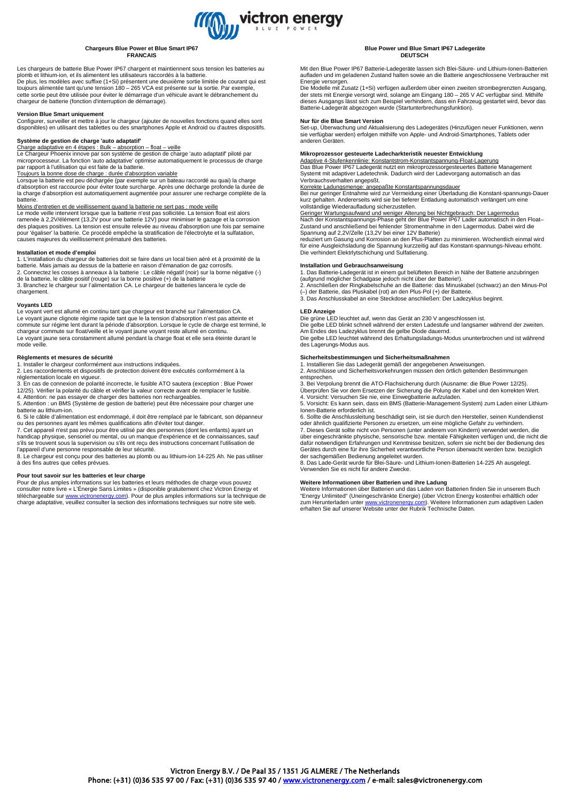

# **Chargeurs Blue Power et Blue Smart IP67 FRANCAIS**

Les chargeurs de batterie Blue Power IP67 chargent et maintiennent sous tension les batteries au<br>plomb et lithium-ion, et ils alimentent les utilisateurs raccordés à la batterie.<br>De plus, les modèles avec suffixe (1+Si) pr toujours alimentée tant qu'une tension 180 – 265 VCA est présente sur la sortie. Par exemple, cette sortie peut être utilisée pour éviter le démarrage d'un véhicule avant le débranchement du chargeur de batterie (fonction d'interruption de démarrage).

### **Version Blue Smart uniquement**

Configurer, surveiller et mettre à jour le chargeur (ajouter de nouvelles fonctions quand elles sont disponibles) en utilisant des tablettes ou des smartphones Apple et Android ou d'autres dispositifs.

# **Système de gestion de charge 'auto adaptatif'** Charge adaptative en 4 étapes : Bulk – absorption – float – veille

Le Chargeur Phoenix innove par son système de gestion de charge 'auto adaptatif' piloté par microprocesseur. La fonction 'auto adaptative' optimise automatiquement le processus de charge

par rapport à l'utilisation qui est faite de la batterie. Toujours la bonne dose de charge : durée d'absorption variable

Lorsque la batterie est peu déchargée (par exemple sur un bateau raccordé au quai) la charge d'absorption est raccourcie pour éviter toute surcharge. Après une décharge profonde la durée de la charge d'absorption est automatiquement augmentée pour assurer une recharge complète de la batterie.

<u>Moins d'entretien et de vieillissement quand la batterie ne sert pas : mode veille</u><br>Le mode veille intervient lorsque que la batterie n'est pas sollicitée. La tension float est alors<br>ramenée à 2,2V/élément (13,2V pour une des plaques positives. La tension est ensuite relevée au niveau d'absorption une fois par semaine pour 'égaliser' la batterie. Ce procédé empêche la stratification de l'électrolyte et la sulfatation, causes majeures du vieillissement prématuré des batteries.

### **Installation et mode d'emploi**

1. L'installation du chargeur de batteries doit se faire dans un local bien aéré et à proximité de la batterie. Mais jamais au dessus de la batterie en raison d'émanation de gaz corrosifs. 2. Connectez les cosses à anneaux à la batterie : Le câble négatif (noir) sur la borne négative (-) de la batterie, le câble positif (rouge) sur la borne positive (+) de la batterie

3. Branchez le chargeur sur l'alimentation CA. Le chargeur de batteries lancera le cycle de chargement.

# **Voyants LED**

Le voyant vert est allumé en continu tant que chargeur est branché sur l'alimentation CA. Le voyant jaune clignote régime rapide tant que le la tension d'absorption n'est pas atteinte et commute sur régime lent durant la période d'absorption. Lorsque le cycle de charge est terminé, le<br>chargeur commute sur float/veille et le voyant jaune voyant reste allumé en continu.<br>Le voyant jaune sera constamment allum mode veille.

# **Règlements et mesures de sécurité**

1. Installer le chargeur conformément aux instructions indiquées.

2. Les raccordements et dispositifs de protection doivent être exécutés conformément à la réglementation locale en vigueur.

3. En cas de connexion de polarité incorrecte, le fusible ATO sautera (exception : Blue Power 12/25). Vérifier la polarité du câble et vérifier la valeur correcte avant de remplacer le fusible.

4. Attention: ne pas essayer de charger des batteries non rechargeables. 5. Attention : un BMS (Système de gestion de batterie) peut être nécessaire pour charger une batterie au lithium-ion.

6. Si le câble d'alimentation est endommagé, il doit être remplacé par le fabricant, son dépanneur

ou des personnes ayant les mêmes qualifications afin d'éviter tout danger.<br>7. Cet appareil n'est pas prévu pour être utilisé par des personnes (dont les enfants) ayant un<br>handicap physique, sensoriel ou mental, ou un manqu s'ils se trouvent sous la supervision ou s'ils ont reçu des instructions concernant l'utilisation de l'appareil d'une personne responsable de leur sécurité.

8. Le chargeur est conçu pour des batteries au plomb ou au lithium-ion 14-225 Ah. Ne pas utiliser à des fins autres que celles prévues.

# **Pour tout savoir sur les batteries et leur charge**

Pour de plus amples informations sur les batteries et leurs méthodes de charge vous pouvez consulter notre livre « L'Énergie Sans Limites » (disponible gratuitement chez Victron Energy et téléchargeable sur <u>www.victronenergy.com</u>). Pour de plus amples informations sur la technique de<br>charge adaptative, veuillez consulter la section des informations techniques sur notre site web.

#### **Blue Power und Blue Smart IP67 Ladegeräte DEUTSCH**

Mit den Blue Power IP67 Batterie-Ladegeräte lassen sich Blei-Säure- und Lithium-Ionen-Batterien aufladen und im geladenen Zustand halten sowie an die Batterie angeschlossene Verbraucher mit

Energie versorgen. Die Modelle mit Zusatz (1+Si) verfügen außerdem über einen zweiten strombegrenzten Ausgang, der stets mit Energie versorgt wird, solange am Eingang 180 – 265 V AC verfügbar sind. Mithilfe<br>dieses Ausgangs lässt sich zum Beispiel verhindern, dass ein Fahrzeug gestartet wird, bevor das<br>Batterie-Ladegerät abgezogen w

# **Nur für die Blue Smart Version**

Set-up, Uberwachung und Aktualisierung des Ladegerätes (Hinzufügen neuer Funktionen, wenn<br>sie verfügbar werden) erfolgen mithilfe von Apple- und Android-Smartphones, Tablets oder anderen Geräten.

#### **Mikroprozessor gesteuerte Ladecharkteristik neuester Entwicklung**

Adaptive 4-Stufenkennlinie: Konstantstrom-Konstantspannung-Float-Lagerung Das Blue Power IP67 Ladegerät nutzt ein mikroprozessorgesteuertes Batterie Management Systemt mit adaptiver Ladetechnik. Dadurch wird der Ladevorgang automatisch an das Verbrauchsverhalten angepsßt.

<u>Korrekte Ladungsmenge: angepaßte Konstantspannungsdauer</u><br>Bei nur geringer Entnahme wird zur Vermeidung einer Überladung die Konstant-spannungs-Dauer<br>kurz gehalten. Andererseits wird sie bei tieferer Entladung automatisch vollständige Wiederaufladung sicherzustellen.<br>
vollständige Wiederaufladung sicherzustellen.

Geringer Wartungsaufwand und weniger Alterung bei Nichtgebrauch: Der Lagermodus

Nach der Konstantspannungs-Phase geht der Blue Power IP67 Lader automatisch in den Float– Zustand und anschließend bei fehlender Stromentnahme in den Lagermodus. Dabei wird die Spannung auf 2,2V/Zelle (13,2V bei einer 12V Batterie)

reduziert um Gasung und Korrosion an den Plus-Platten zu minimieren. Wöchentlich einmal wird für eine Ausgleichsladung die Spannung kurzzeitig auf das Konstant-spannungs-Niveau erhöht. Die verhindert Elektrlytschichung und Sulfatierung.

### **Installation und Gebrauchsanweisung**

1. Das Batterie-Ladegerät ist in einem gut belüfteten Bereich in Nähe der Batterie anzubringen (aufgrund möglicher Schadgase jedoch nicht über der Batterie!).

2. Anschließen der Ringkabelschuhe an die Batterie: das Minuskabel (schwarz) an den Minus-Pol (–) der Batterie, das Pluskabel (rot) an den Plus-Pol (+) der Batterie. 3. Das Anschlusskabel an eine Steckdose anschließen: Der Ladezyklus beginnt.

**LED Anzeige** Die grüne LED leuchtet auf, wenn das Gerät an 230 V angeschlossen ist.

Die gelbe LED blinkt schnell während der ersten Ladestufe und langsamer während der zweiten.<br>Am Endes des Ladezyklus brennt die gelbe Diode dauernd.<br>Die gelbe LED leuchtet während des Erhaltungsladungs-Modus ununterbrochen

des Lagerungs-Modus aus.

# **Sicherheitsbestimmungen und Sicherheitsmaßnahmen**

1. Installieren Sie das Ladegerät gemäß der angegebenen Anweisungen. 2. Anschlüsse und Sicherheitsvorkehrungen müssen den örtlich geltenden Bestimmungen entsprechen.

3. Bei Verpolung brennt die ATO-Flachsicherung durch (Ausname: die Blue Power 12/25). Überprüfen Sie vor dem Ersetzen der Sicherung die Polung der Kabel und den korrekten Wert.

4. Vorsicht: Versuchen Sie nie, eine Einwegbatterie aufzuladen. 5. Vorsicht: Es kann sein, dass ein BMS (Batterie-Management-System) zum Laden einer Lithium-Ionen-Batterie erforderlich ist.

6. Sollte die Anschlussleitung beschädigt sein, ist sie durch den Hersteller, seinen Kundendienst

oder ähnlich qualifizierte Personen zu ersetzen, um eine mögliche Gefahr zu verhindern.<br>7. Dieses Gerät sollte nicht von Personen (unter anderem von Kindern) verwendet werden, die<br>über eingeschränkte physische, sensorische dafür notwendigen Erfahrungen und Kenntnisse besitzen, sofern sie nicht bei der Bedienung des Gerätes durch eine für ihre Sicherheit verantwortliche Person überwacht werden bzw. bezüglich

der sachgemäßen Bedienung angeleitet wurden. 8. Das Lade-Gerät wurde für Blei-Säure- und Lithium-Ionen-Batterien 14-225 Ah ausgelegt. Verwenden Sie es nicht für andere Zwecke.

**Weitere Informationen über Batterien und ihre Ladung**<br>Weitere Informationen über Batterien und das Laden von Batterien finden Sie in unserem Buch "Energy Unlimited" (Uneingeschränkte Energie) (über Victron Energy kostenfrei erhältlich oder<br>zum Herunterladen unter <u>www.victronenergy.com</u>). Weitere Informationen zum adaptiven Laden<br>erhalten Sie auf unserer Website unt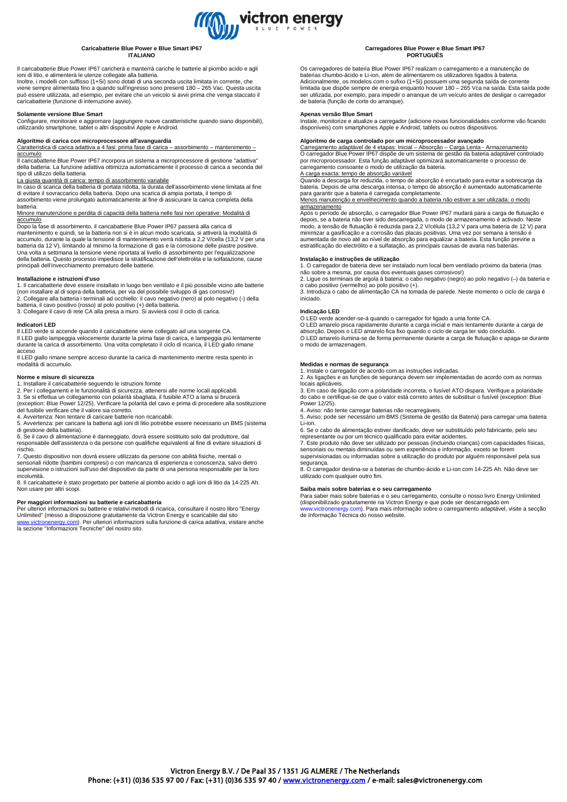

### **Caricabatterie Blue Power e Blue Smart IP67 ITALIANO**

Il caricabatterie Blue Power IP67 caricherà e manterrà cariche le batterie al piombo acido e agli ioni di litio, e alimenterà le utenze collegate alla batteria.

Inoltre, i modelli con suffisso (1+Si) sono dotati di una seconda uscita limitata in corrente, che viene sempre alimentata fino a quando sull'ingresso sono presenti 180 – 265 Vac. Questa uscita può essere utilizzata, ad esempio, per evitare che un veicolo si avvii prima che venga staccato il caricabatterie (funzione di interruzione avvio).

# **Solamente versione Blue Smart**

Configurare, monitorare e aggiornare (aggiungere nuove caratteristiche quando siano disponibili), utilizzando smartphone, tablet o altri dispositivi Apple e Android.

**Algoritmo di carica con microprocessore all'avanguardia**<br><u>Caratteristica di carica adattiva a 4 fasi: prima fase di carica – assorbimento – mantenimento –</u> accumulo

Il caricabatterie Blue Power IP67 incorpora un sistema a microprocessore di gestione "adattiva della batteria. La funzione adattiva ottimizza automaticamente il processo di carica a seconda del tipo di utilizzo della batteria

### La giusta quantità di carica: tempo di assorbimento variabile

In caso di scarica della batteria di portata ridotta, la durata dell'assorbimento viene limitata al fine di evitare il sovraccarico della batteria. Dopo una scarica di ampia portata, il tempo di assorbimento viene prolungato automaticamente al fine di assicurare la carica completa della

batteria. Minore manutenzione e perdita di capacità della batteria nelle fasi non operative: Modalità di accumulo

Dopo la fase di assorbimento, il caricabatterie Blue Power IP67 passerà alla carica di mantenimento e quindi, se la batteria non si è in alcun modo scaricata, si attiverà la modalità di accumulo, durante la quale la tensione di mantenimento verrà ridotta a 2,2 V/cella (13,2 V per una batteria da 12 V), limitando al minimo la formazione di gas e la corrosione delle piastre positive. Una volta a settimana la tensione viene riportata al livello di assorbimento per l'equalizzazione della batteria. Questo processo impedisce la stratificazione dell'elettrolita e la solfatazione, cause principali dell'invecchiamento prematuro delle batterie.

### **Installazione e istruzioni d'uso**

1. Il caricabatterie deve essere installato in luogo ben ventilato e il più possibile vicino alle batterie (non installare al di sopra della batteria, per via del possibile sviluppo di gas corrosivi!) 2. Collegare alla batteria i terminali ad occhiello: il cavo negativo (nero) al polo negativo (-) della batteria, il cavo positivo (rosso) al polo positivo (+) della batteria. 3. Collegare il cavo di rete CA alla presa a muro. Si avvierà così il ciclo di carica.

### **Indicatori LED**

ID verde si accende quando il caricabatterie viene collegato ad una sorgente CA Il LED giallo lampeggia velocemente durante la prima fase di carica, e lampeggia più lentamente durante la carica di assorbimento. Una volta completato il ciclo di ricarica, il LED giallo rimane acceso

Il LED giallo rimane sempre acceso durante la carica di mantenimento mentre resta spento in modalità di accumulo.

### **Norme e misure di sicurezza**

1. Installare il caricabatterie seguendo le istruzioni fornite 2. Per i collegamenti e le funzionalità di sicurezza, attenersi alle norme locali applicabili.

3. Se si effettua un collegamento con polarità sbagliata, il fusibile ATO a lama si brucerà (exception: Blue Power 12/25). Verificare la polarità del cavo e prima di procedere alla sostituzione del fusibile verificare che il valore sia corretto.

4. Avvertenza: Non tentare di caricare batterie non ricaricabili.

5. Avvertenza: per caricare la batteria agli ioni di litio potrebbe essere necessario un BMS (sistema

di gestione della batteria). 6. Se il cavo di alimentazione è danneggiato, dovrà essere sostituito solo dal produttore, dal responsabile dell'assistenza o da persone con qualifiche equivalenti al fine di evitare situazioni di rischio.

7. Questo dispositivo non dovrà essere utilizzato da persone con abilità fisiche, mentali o sensoriali ridotte (bambini compresi) o con mancanza di esperienza e conoscenza, salvo dietro supervisione o istruzioni sull'uso del dispositivo da parte di una persona responsabile per la loro

incolumità. 8. Il caricabatterie è stato progettato per batterie al piombo acido o agli ioni di litio da 14-225 Ah. Non usare per altri scopi.

# **Per maggiori informazioni su batterie e caricabatteria**

Per ulteriori informazioni su batterie e relativi metodi di ricarica, consultare il nostro libro "Energy Unlimited" (messo a disposizione gratuitamente da Victron Energy e scaricabile dal sito [www.victronenergy.com\).](http://www.victronenergy.com/) Per ulteriori informazioni sulla funzione di carica adattiva, visitare anche la sezione "Informazioni Tecniche" del nostro sito.

#### **Carregadores Blue Power e Blue Smart IP67 PORTUGUÊS**

Os carregadores de bateria Blue Power IP67 realizam o carregamento e a manutenção de baterias chumbo-ácido e Li-ion, além de alimentarem os utilizadores ligados à bateria. Adicionalmente, os modelos com o sufixo (1+Si) possuem uma segunda saída de corrente<br>limitada que dispõe sempre de energia enquanto houver 180 – 265 Vca na saída. Esta saída pode ser utilizada, por exemplo, para impedir o arranque de um veículo antes de desligar o carregador de bateria (função de corte do arranque).

# **Apenas versão Blue Smart**

Instale, monitorize e atualize a carregador (adicione novas funcionalidades conforme vão ficando disponíveis) com smartphones Apple e Android, tablets ou outros dispositivos.

**Algoritmo de carga controlado por um microprocessador avançado**<br><u>Carregamento adaptável de 4 etapas: Inicial – Absorção – Carga Lenta - Armazenamento</u><br>O carregador Blue Power IP67 dispõe de um sistema de gestão da bateria por microprocessador. Esta função adaptável optimizará automaticamente o processo de carregamento consoante o modo de utilização da bateria.

<u>A carga exacta: tempo de absorção variável</u><br>Quando a descarga for reduzida, o tempo de absorção é encurtado para evitar a sobrecarga da bateria. Depois de uma descarga intensa, o tempo de absorção é aumentado automaticamente para garantir que a bateria é carregada completamente.

Menos manutenção e envelhecimento quando a bateria não estiver a ser utilizada: o modo armazenamento

Após o período de absorção, o carregador Blue Power IP67 mudará para a carga de flutuação e depois, se a bateria não tiver sido descarregada, o modo de armazenamento é activado. Neste<br>modo, a tensão de flutuação é reduzida para 2,2 V/célula (13,2 V para uma bateria de 12 V) para<br>minimizar a gasificação e a corros aumentada de novo até ao nível de absorção para equalizar a bateria. Esta função previne a estratificação do electrólito e a sulfatação, as principais causas de avaria nas baterias.

# **Instalação e instruções de utilização**

1. O carregador de bateria deve ser instalado num local bem ventilado próximo da bateria (mas

não sobre a mesma, por causa dos eventuais gases corrosivos!) 2. Ligue os terminais de argola à bateria: o cabo negativo (negro) ao polo negativo (–) da bateria e o cabo positivo (vermelho) ao polo positivo (+).

3. Introduza o cabo de alimentação CA na tomada de parede. Neste momento o ciclo de carga é iniciado.

### **Indicação LED**

O LED verde acender-se-á quando o carregador for ligado a uma fonte CA.

O LED amarelo pisca rapidamente durante a carga inicial e mais lentamente durante a carga de absorção. Depois o LED amarelo fica fixo quando o ciclo de carga ter sido concluído. O LED amarelo ilumina-se de forma permanente durante a carga de flutuação e apaga-se durante o modo de armazenagem.

### **Medidas e normas de segurança**

1. Instale o carregador de acordo com as instruções indicadas. 2. As ligações e as funções de segurança devem ser implementadas de acordo com as normas locais aplicáveis.

3. Em caso de ligação com a polaridade incorreta, o fusível ATO dispara. Verifique a polaridade do cabo e certifique-se de que o valor está correto antes de substituir o fusível (exception: Blue Power 12/25).

4. Aviso: não tente carregar baterias não recarregáveis.

5. Aviso: pode ser necessário um BMS (Sistema de gestão da Bateria) para carregar uma bateria Li-ion.

6. Se o cabo de alimentação estiver danificado, deve ser substituído pelo fabricante, pelo seu representante ou por um técnico qualificado para evitar acidentes.

7. Este produto não deve ser utilizado por pessoas (incluindo crianças) com capacidades físicas, sensoriais ou mentais diminuídas ou sem experiência e informação, exceto se forem supervisionadas ou informadas sobre a utilização do produto por alguém responsável pela sua

segurança. 8. O carregador destina-se a baterias de chumbo-ácido e Li-ion com 14-225 Ah. Não deve ser utilizado com qualquer outro fim.

# **Saiba mais sobre baterias e o seu carregamento**

Para saber mais sobre baterias e o seu carregamento, consulte o nosso livro Energy Unlimited<br>(disponibilizado gratuitamente na Victron Energy e que pode ser descarregado em<br>www.victronenergy.com). Para mais informação sobr de Informação Técnica do nosso website.